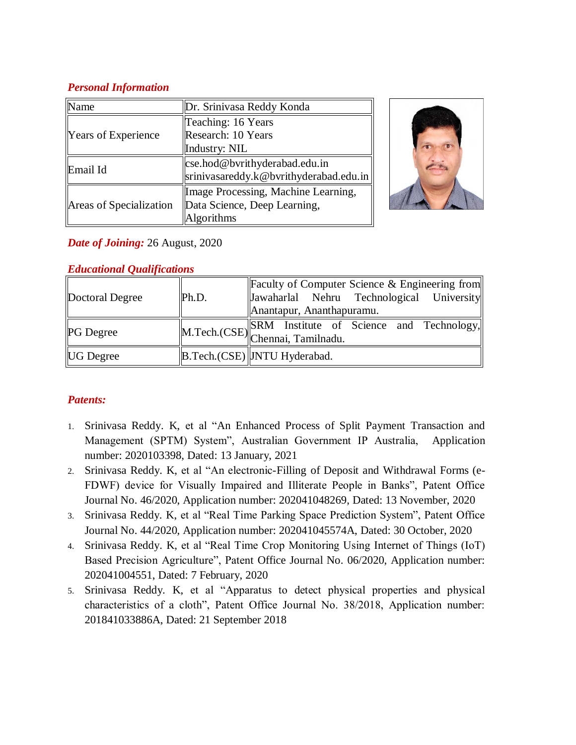# *Personal Information*

| Vame                    | Dr. Srinivasa Reddy Konda              |  |
|-------------------------|----------------------------------------|--|
|                         | Teaching: 16 Years                     |  |
| Years of Experience     | Research: 10 Years                     |  |
|                         | Industry: NIL                          |  |
| Email Id                | $\csc$ hod@bvrithyderabad.edu.in       |  |
|                         | srinivasareddy.k@bvrithyderabad.edu.in |  |
| Areas of Specialization | Image Processing, Machine Learning,    |  |
|                         | Data Science, Deep Learning,           |  |
|                         | <b>Algorithms</b>                      |  |



# *Date of Joining:* 26 August, 2020

| $\sim$           |       |                                                                                                                            |  |
|------------------|-------|----------------------------------------------------------------------------------------------------------------------------|--|
| Doctoral Degree  | Ph.D. | Faculty of Computer Science & Engineering from<br> Jawaharlal Nehru Technological University <br>Anantapur, Ananthapuramu. |  |
| <b>PG</b> Degree |       | M.Tech.(CSE) SRM Institute of Science and Technology, Chennai, Tamilnadu.                                                  |  |
| <b>UG</b> Degree |       | B.Tech.(CSE) JNTU Hyderabad.                                                                                               |  |

# *Educational Qualifications*

# *Patents:*

- 1. Srinivasa Reddy. K, et al "An Enhanced Process of Split Payment Transaction and Management (SPTM) System", Australian Government IP Australia, Application number: 2020103398, Dated: 13 January, 2021
- 2. Srinivasa Reddy. K, et al "An electronic-Filling of Deposit and Withdrawal Forms (e-FDWF) device for Visually Impaired and Illiterate People in Banks", Patent Office Journal No. 46/2020, Application number: 202041048269, Dated: 13 November, 2020
- 3. Srinivasa Reddy. K, et al "Real Time Parking Space Prediction System", Patent Office Journal No. 44/2020, Application number: 202041045574A, Dated: 30 October, 2020
- 4. Srinivasa Reddy. K, et al "Real Time Crop Monitoring Using Internet of Things (IoT) Based Precision Agriculture", Patent Office Journal No. 06/2020, Application number: 202041004551, Dated: 7 February, 2020
- 5. Srinivasa Reddy. K, et al "Apparatus to detect physical properties and physical characteristics of a cloth", Patent Office Journal No. 38/2018, Application number: 201841033886A, Dated: 21 September 2018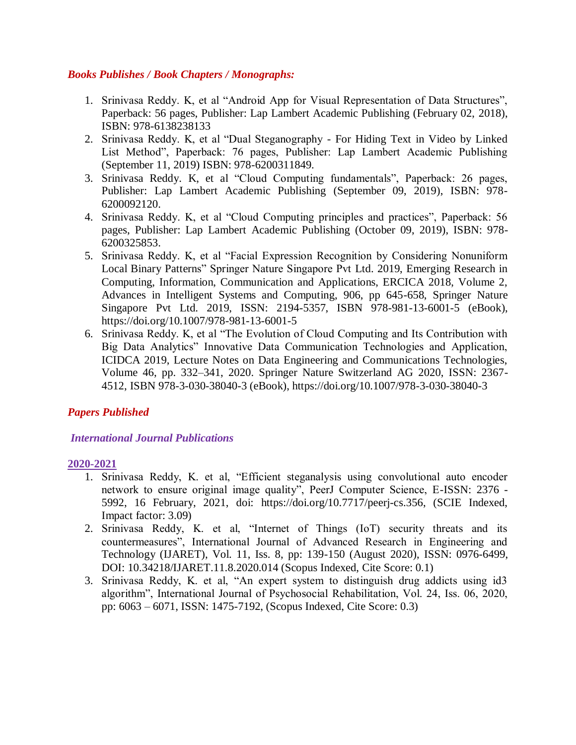### *Books Publishes / Book Chapters / Monographs:*

- 1. Srinivasa Reddy. K, et al "Android App for Visual Representation of Data Structures", Paperback: 56 pages, Publisher: Lap Lambert Academic Publishing (February 02, 2018), ISBN: 978-6138238133
- 2. Srinivasa Reddy. K, et al "Dual Steganography For Hiding Text in Video by Linked List Method", Paperback: 76 pages, Publisher: Lap Lambert Academic Publishing (September 11, 2019) ISBN: 978-6200311849.
- 3. Srinivasa Reddy. K, et al "Cloud Computing fundamentals", Paperback: 26 pages, Publisher: Lap Lambert Academic Publishing (September 09, 2019), ISBN: 978- 6200092120.
- 4. Srinivasa Reddy. K, et al "Cloud Computing principles and practices", Paperback: 56 pages, Publisher: Lap Lambert Academic Publishing (October 09, 2019), ISBN: 978- 6200325853.
- 5. Srinivasa Reddy. K, et al "Facial Expression Recognition by Considering Nonuniform Local Binary Patterns" Springer Nature Singapore Pvt Ltd. 2019, Emerging Research in Computing, Information, Communication and Applications, ERCICA 2018, Volume 2, Advances in Intelligent Systems and Computing, 906, pp 645-658, Springer Nature Singapore Pvt Ltd. 2019, ISSN: 2194-5357, ISBN 978-981-13-6001-5 (eBook), https://doi.org/10.1007/978-981-13-6001-5
- 6. Srinivasa Reddy. K, et al "The Evolution of Cloud Computing and Its Contribution with Big Data Analytics" Innovative Data Communication Technologies and Application, ICIDCA 2019, Lecture Notes on Data Engineering and Communications Technologies, Volume 46, pp. 332–341, 2020. Springer Nature Switzerland AG 2020, ISSN: 2367- 4512, ISBN 978-3-030-38040-3 (eBook), https://doi.org/10.1007/978-3-030-38040-3

## *Papers Published*

## *International Journal Publications*

#### **2020-2021**

- 1. Srinivasa Reddy, K. et al, "Efficient steganalysis using convolutional auto encoder network to ensure original image quality", PeerJ Computer Science, E-ISSN: 2376 - 5992, 16 February, 2021, doi: https://doi.org/10.7717/peerj-cs.356, (SCIE Indexed, Impact factor: 3.09)
- 2. Srinivasa Reddy, K. et al, "Internet of Things (IoT) security threats and its countermeasures", International Journal of Advanced Research in Engineering and Technology (IJARET), Vol. 11, Iss. 8, pp: 139-150 (August 2020), ISSN: 0976-6499, DOI: 10.34218/IJARET.11.8.2020.014 (Scopus Indexed, Cite Score: 0.1)
- 3. Srinivasa Reddy, K. et al, "An expert system to distinguish drug addicts using id3 algorithm", International Journal of Psychosocial Rehabilitation, Vol. 24, Iss. 06, 2020, pp: 6063 – 6071, ISSN: 1475-7192, (Scopus Indexed, Cite Score: 0.3)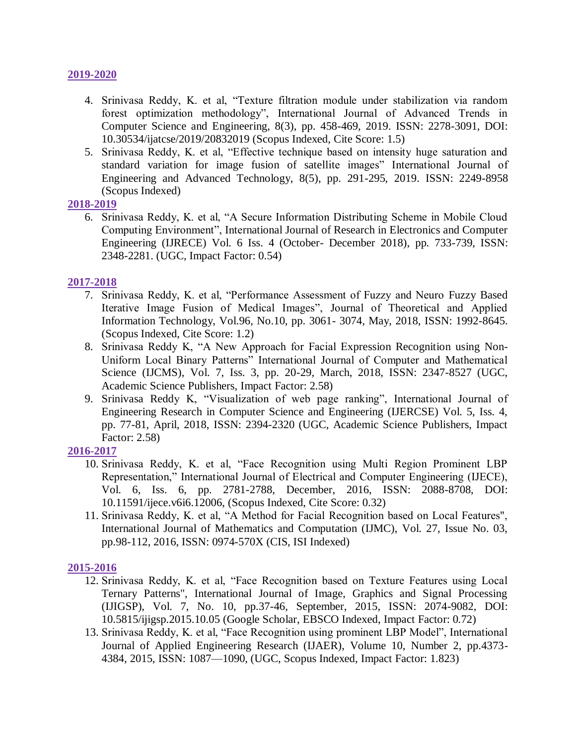#### **2019-2020**

- 4. Srinivasa Reddy, K. et al, "Texture filtration module under stabilization via random forest optimization methodology", International Journal of Advanced Trends in Computer Science and Engineering, 8(3), pp. 458-469, 2019. ISSN: 2278-3091, DOI: 10.30534/ijatcse/2019/20832019 (Scopus Indexed, Cite Score: 1.5)
- 5. Srinivasa Reddy, K. et al, "Effective technique based on intensity huge saturation and standard variation for image fusion of satellite images" International Journal of Engineering and Advanced Technology, 8(5), pp. 291-295, 2019. ISSN: 2249-8958 (Scopus Indexed)

#### **2018-2019**

6. Srinivasa Reddy, K. et al, "A Secure Information Distributing Scheme in Mobile Cloud Computing Environment", International Journal of Research in Electronics and Computer Engineering (IJRECE) Vol. 6 Iss. 4 (October- December 2018), pp. 733-739, ISSN: 2348-2281. (UGC, Impact Factor: 0.54)

### **2017-2018**

- 7. Srinivasa Reddy, K. et al, "Performance Assessment of Fuzzy and Neuro Fuzzy Based Iterative Image Fusion of Medical Images", Journal of Theoretical and Applied Information Technology, Vol.96, No.10, pp. 3061- 3074, May, 2018, ISSN: 1992-8645. (Scopus Indexed, Cite Score: 1.2)
- 8. Srinivasa Reddy K, "A New Approach for Facial Expression Recognition using Non-Uniform Local Binary Patterns" International Journal of Computer and Mathematical Science (IJCMS), Vol. 7, Iss. 3, pp. 20-29, March, 2018, ISSN: 2347-8527 (UGC, Academic Science Publishers, Impact Factor: 2.58)
- 9. Srinivasa Reddy K, "Visualization of web page ranking", International Journal of Engineering Research in Computer Science and Engineering (IJERCSE) Vol. 5, Iss. 4, pp. 77-81, April, 2018, ISSN: 2394-2320 (UGC, Academic Science Publishers, Impact Factor: 2.58)

#### **2016-2017**

- 10. Srinivasa Reddy, K. et al, "Face Recognition using Multi Region Prominent LBP Representation," International Journal of Electrical and Computer Engineering (IJECE), Vol. 6, Iss. 6, pp. 2781-2788, December, 2016, ISSN: 2088-8708, DOI: 10.11591/ijece.v6i6.12006, (Scopus Indexed, Cite Score: 0.32)
- 11. Srinivasa Reddy, K. et al, "A Method for Facial Recognition based on Local Features", International Journal of Mathematics and Computation (IJMC), Vol. 27, Issue No. 03, pp.98-112, 2016, ISSN: 0974-570X (CIS, ISI Indexed)

## **2015-2016**

- 12. Srinivasa Reddy, K. et al, "Face Recognition based on Texture Features using Local Ternary Patterns", International Journal of Image, Graphics and Signal Processing (IJIGSP), Vol. 7, No. 10, pp.37-46, September, 2015, ISSN: 2074-9082, DOI: 10.5815/ijigsp.2015.10.05 (Google Scholar, EBSCO Indexed, Impact Factor: 0.72)
- 13. Srinivasa Reddy, K. et al, "Face Recognition using prominent LBP Model", International Journal of Applied Engineering Research (IJAER), Volume 10, Number 2, pp.4373- 4384, 2015, ISSN: 1087—1090, (UGC, Scopus Indexed, Impact Factor: 1.823)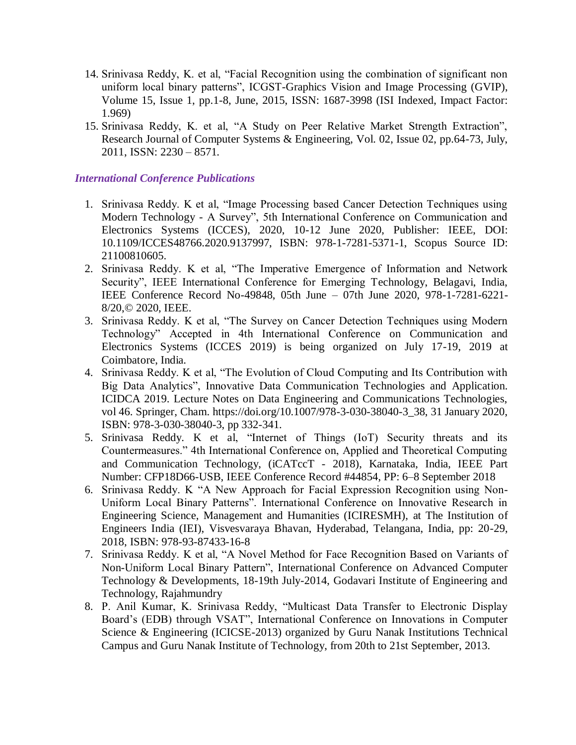- 14. Srinivasa Reddy, K. et al, "Facial Recognition using the combination of significant non uniform local binary patterns", ICGST-Graphics Vision and Image Processing (GVIP), Volume 15, Issue 1, pp.1-8, June, 2015, ISSN: 1687-3998 (ISI Indexed, Impact Factor: 1.969)
- 15. Srinivasa Reddy, K. et al, "A Study on Peer Relative Market Strength Extraction", Research Journal of Computer Systems & Engineering, Vol. 02, Issue 02, pp.64-73, July, 2011, ISSN: 2230 – 8571.

### *International Conference Publications*

- 1. Srinivasa Reddy. K et al, "Image Processing based Cancer Detection Techniques using Modern Technology - A Survey", 5th International Conference on Communication and Electronics Systems (ICCES), 2020, 10-12 June 2020, Publisher: IEEE, DOI: 10.1109/ICCES48766.2020.9137997, ISBN: 978-1-7281-5371-1, Scopus Source ID: 21100810605.
- 2. Srinivasa Reddy. K et al, "The Imperative Emergence of Information and Network Security", IEEE International Conference for Emerging Technology, Belagavi, India, IEEE Conference Record No-49848, 05th June – 07th June 2020, 978-1-7281-6221- 8/20,© 2020, IEEE.
- 3. Srinivasa Reddy. K et al, "The Survey on Cancer Detection Techniques using Modern Technology" Accepted in 4th International Conference on Communication and Electronics Systems (ICCES 2019) is being organized on July 17-19, 2019 at Coimbatore, India.
- 4. Srinivasa Reddy. K et al, "The Evolution of Cloud Computing and Its Contribution with Big Data Analytics", Innovative Data Communication Technologies and Application. ICIDCA 2019. Lecture Notes on Data Engineering and Communications Technologies, vol 46. Springer, Cham. https://doi.org/10.1007/978-3-030-38040-3\_38, 31 January 2020, ISBN: 978-3-030-38040-3, pp 332-341.
- 5. Srinivasa Reddy. K et al, "Internet of Things (IoT) Security threats and its Countermeasures." 4th International Conference on, Applied and Theoretical Computing and Communication Technology, (iCATccT - 2018), Karnataka, India, IEEE Part Number: CFP18D66-USB, IEEE Conference Record #44854, PP: 6–8 September 2018
- 6. Srinivasa Reddy. K "A New Approach for Facial Expression Recognition using Non-Uniform Local Binary Patterns". International Conference on Innovative Research in Engineering Science, Management and Humanities (ICIRESMH), at The Institution of Engineers India (IEI), Visvesvaraya Bhavan, Hyderabad, Telangana, India, pp: 20-29, 2018, ISBN: 978-93-87433-16-8
- 7. Srinivasa Reddy. K et al, "A Novel Method for Face Recognition Based on Variants of Non-Uniform Local Binary Pattern", International Conference on Advanced Computer Technology & Developments, 18-19th July-2014, Godavari Institute of Engineering and Technology, Rajahmundry
- 8. P. Anil Kumar, K. Srinivasa Reddy, "Multicast Data Transfer to Electronic Display Board's (EDB) through VSAT", International Conference on Innovations in Computer Science & Engineering (ICICSE-2013) organized by Guru Nanak Institutions Technical Campus and Guru Nanak Institute of Technology, from 20th to 21st September, 2013.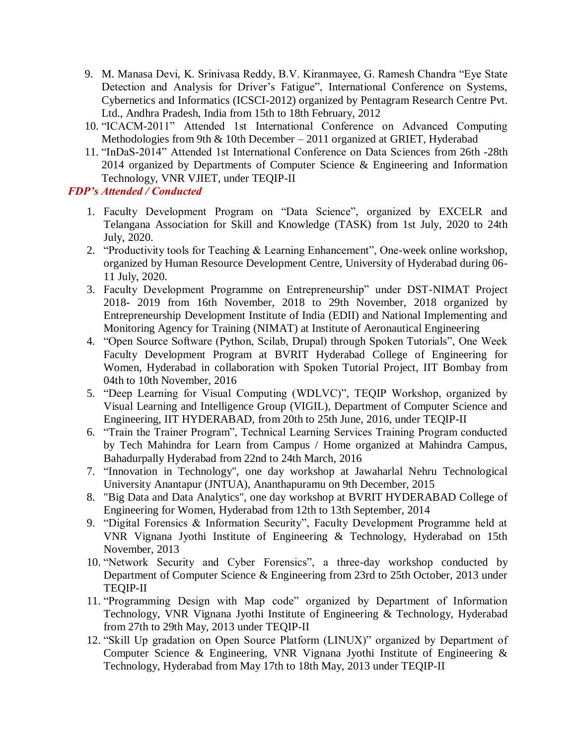- 9. M. Manasa Devi, K. Srinivasa Reddy, B.V. Kiranmayee, G. Ramesh Chandra "Eye State Detection and Analysis for Driver's Fatigue", International Conference on Systems, Cybernetics and Informatics (ICSCI-2012) organized by Pentagram Research Centre Pvt. Ltd., Andhra Pradesh, India from 15th to 18th February, 2012
- 10. "ICACM-2011" Attended 1st International Conference on Advanced Computing Methodologies from 9th & 10th December – 2011 organized at GRIET, Hyderabad
- 11. "InDaS-2014" Attended 1st International Conference on Data Sciences from 26th -28th 2014 organized by Departments of Computer Science & Engineering and Information Technology, VNR VJIET, under TEQIP-II

### *FDP's Attended / Conducted*

- 1. Faculty Development Program on "Data Science", organized by EXCELR and Telangana Association for Skill and Knowledge (TASK) from 1st July, 2020 to 24th July, 2020.
- 2. "Productivity tools for Teaching & Learning Enhancement", One-week online workshop, organized by Human Resource Development Centre, University of Hyderabad during 06- 11 July, 2020.
- 3. Faculty Development Programme on Entrepreneurship" under DST-NIMAT Project 2018- 2019 from 16th November, 2018 to 29th November, 2018 organized by Entrepreneurship Development Institute of India (EDII) and National Implementing and Monitoring Agency for Training (NIMAT) at Institute of Aeronautical Engineering
- 4. "Open Source Software (Python, Scilab, Drupal) through Spoken Tutorials", One Week Faculty Development Program at BVRIT Hyderabad College of Engineering for Women, Hyderabad in collaboration with Spoken Tutorial Project, IIT Bombay from 04th to 10th November, 2016
- 5. "Deep Learning for Visual Computing (WDLVC)", TEQIP Workshop, organized by Visual Learning and Intelligence Group (VIGIL), Department of Computer Science and Engineering, IIT HYDERABAD, from 20th to 25th June, 2016, under TEQIP-II
- 6. "Train the Trainer Program", Technical Learning Services Training Program conducted by Tech Mahindra for Learn from Campus / Home organized at Mahindra Campus, Bahadurpally Hyderabad from 22nd to 24th March, 2016
- 7. "Innovation in Technology", one day workshop at Jawaharlal Nehru Technological University Anantapur (JNTUA), Ananthapuramu on 9th December, 2015
- 8. "Big Data and Data Analytics", one day workshop at BVRIT HYDERABAD College of Engineering for Women, Hyderabad from 12th to 13th September, 2014
- 9. "Digital Forensics & Information Security", Faculty Development Programme held at VNR Vignana Jyothi Institute of Engineering & Technology, Hyderabad on 15th November, 2013
- 10. "Network Security and Cyber Forensics", a three-day workshop conducted by Department of Computer Science & Engineering from 23rd to 25th October, 2013 under TEQIP-II
- 11. "Programming Design with Map code" organized by Department of Information Technology, VNR Vignana Jyothi Institute of Engineering & Technology, Hyderabad from 27th to 29th May, 2013 under TEQIP-II
- 12. "Skill Up gradation on Open Source Platform (LINUX)" organized by Department of Computer Science & Engineering, VNR Vignana Jyothi Institute of Engineering & Technology, Hyderabad from May 17th to 18th May, 2013 under TEQIP-II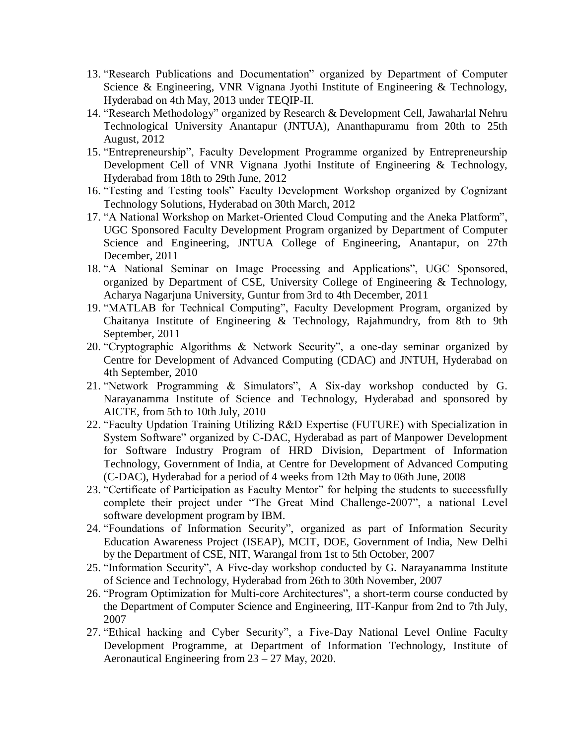- 13. "Research Publications and Documentation" organized by Department of Computer Science & Engineering, VNR Vignana Jyothi Institute of Engineering & Technology, Hyderabad on 4th May, 2013 under TEQIP-II.
- 14. "Research Methodology" organized by Research & Development Cell, Jawaharlal Nehru Technological University Anantapur (JNTUA), Ananthapuramu from 20th to 25th August, 2012
- 15. "Entrepreneurship", Faculty Development Programme organized by Entrepreneurship Development Cell of VNR Vignana Jyothi Institute of Engineering & Technology, Hyderabad from 18th to 29th June, 2012
- 16. "Testing and Testing tools" Faculty Development Workshop organized by Cognizant Technology Solutions, Hyderabad on 30th March, 2012
- 17. "A National Workshop on Market-Oriented Cloud Computing and the Aneka Platform", UGC Sponsored Faculty Development Program organized by Department of Computer Science and Engineering, JNTUA College of Engineering, Anantapur, on 27th December, 2011
- 18. "A National Seminar on Image Processing and Applications", UGC Sponsored, organized by Department of CSE, University College of Engineering & Technology, Acharya Nagarjuna University, Guntur from 3rd to 4th December, 2011
- 19. "MATLAB for Technical Computing", Faculty Development Program, organized by Chaitanya Institute of Engineering & Technology, Rajahmundry, from 8th to 9th September, 2011
- 20. "Cryptographic Algorithms & Network Security", a one-day seminar organized by Centre for Development of Advanced Computing (CDAC) and JNTUH, Hyderabad on 4th September, 2010
- 21. "Network Programming & Simulators", A Six-day workshop conducted by G. Narayanamma Institute of Science and Technology, Hyderabad and sponsored by AICTE, from 5th to 10th July, 2010
- 22. "Faculty Updation Training Utilizing R&D Expertise (FUTURE) with Specialization in System Software" organized by C-DAC, Hyderabad as part of Manpower Development for Software Industry Program of HRD Division, Department of Information Technology, Government of India, at Centre for Development of Advanced Computing (C-DAC), Hyderabad for a period of 4 weeks from 12th May to 06th June, 2008
- 23. "Certificate of Participation as Faculty Mentor" for helping the students to successfully complete their project under "The Great Mind Challenge-2007", a national Level software development program by IBM.
- 24. "Foundations of Information Security", organized as part of Information Security Education Awareness Project (ISEAP), MCIT, DOE, Government of India, New Delhi by the Department of CSE, NIT, Warangal from 1st to 5th October, 2007
- 25. "Information Security", A Five-day workshop conducted by G. Narayanamma Institute of Science and Technology, Hyderabad from 26th to 30th November, 2007
- 26. "Program Optimization for Multi-core Architectures", a short-term course conducted by the Department of Computer Science and Engineering, IIT-Kanpur from 2nd to 7th July, 2007
- 27. "Ethical hacking and Cyber Security", a Five-Day National Level Online Faculty Development Programme, at Department of Information Technology, Institute of Aeronautical Engineering from 23 – 27 May, 2020.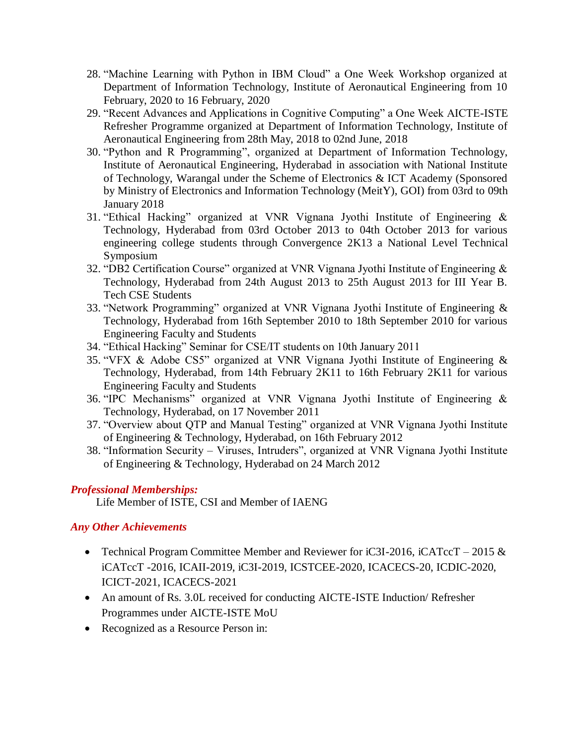- 28. "Machine Learning with Python in IBM Cloud" a One Week Workshop organized at Department of Information Technology, Institute of Aeronautical Engineering from 10 February, 2020 to 16 February, 2020
- 29. "Recent Advances and Applications in Cognitive Computing" a One Week AICTE-ISTE Refresher Programme organized at Department of Information Technology, Institute of Aeronautical Engineering from 28th May, 2018 to 02nd June, 2018
- 30. "Python and R Programming", organized at Department of Information Technology, Institute of Aeronautical Engineering, Hyderabad in association with National Institute of Technology, Warangal under the Scheme of Electronics & ICT Academy (Sponsored by Ministry of Electronics and Information Technology (MeitY), GOI) from 03rd to 09th January 2018
- 31. "Ethical Hacking" organized at VNR Vignana Jyothi Institute of Engineering & Technology, Hyderabad from 03rd October 2013 to 04th October 2013 for various engineering college students through Convergence 2K13 a National Level Technical Symposium
- 32. "DB2 Certification Course" organized at VNR Vignana Jyothi Institute of Engineering & Technology, Hyderabad from 24th August 2013 to 25th August 2013 for III Year B. Tech CSE Students
- 33. "Network Programming" organized at VNR Vignana Jyothi Institute of Engineering & Technology, Hyderabad from 16th September 2010 to 18th September 2010 for various Engineering Faculty and Students
- 34. "Ethical Hacking" Seminar for CSE/IT students on 10th January 2011
- 35. "VFX & Adobe CS5" organized at VNR Vignana Jyothi Institute of Engineering & Technology, Hyderabad, from 14th February 2K11 to 16th February 2K11 for various Engineering Faculty and Students
- 36. "IPC Mechanisms" organized at VNR Vignana Jyothi Institute of Engineering & Technology, Hyderabad, on 17 November 2011
- 37. "Overview about QTP and Manual Testing" organized at VNR Vignana Jyothi Institute of Engineering & Technology, Hyderabad, on 16th February 2012
- 38. "Information Security Viruses, Intruders", organized at VNR Vignana Jyothi Institute of Engineering & Technology, Hyderabad on 24 March 2012

## *Professional Memberships:*

Life Member of ISTE, CSI and Member of IAENG

## *Any Other Achievements*

- Technical Program Committee Member and Reviewer for iC3I-2016, iCATccT 2015  $\&$ iCATccT -2016, ICAII-2019, iC3I-2019, ICSTCEE-2020, ICACECS-20, ICDIC-2020, ICICT-2021, ICACECS-2021
- An amount of Rs. 3.0L received for conducting AICTE-ISTE Induction/ Refresher Programmes under AICTE-ISTE MoU
- Recognized as a Resource Person in: